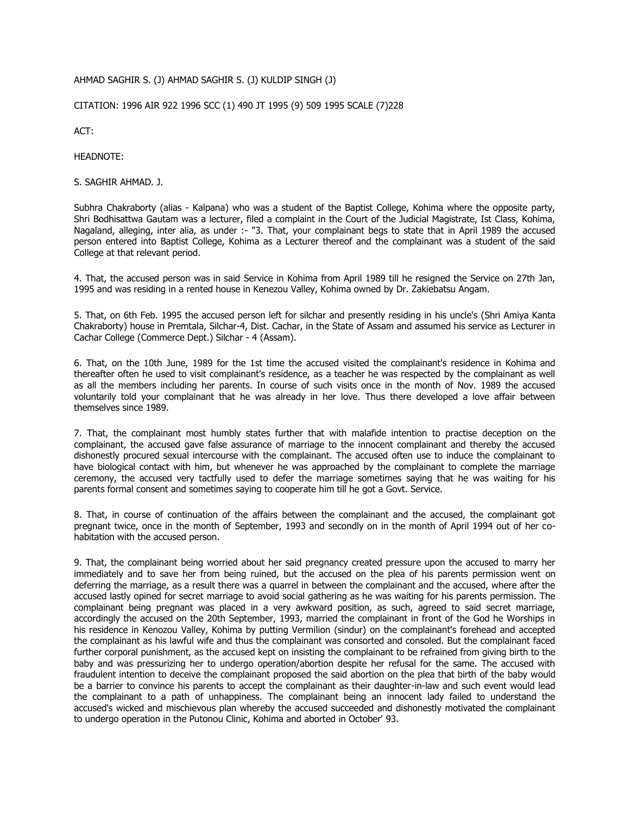## AHMAD SAGHIR S. (J) AHMAD SAGHIR S. (J) KULDIP SINGH (J)

CITATION: 1996 AIR 922 1996 SCC (1) 490 JT 1995 (9) 509 1995 SCALE (7)228

ACT:

HEADNOTE:

S. SAGHIR AHMAD. J.

Subhra Chakraborty (alias - Kalpana) who was a student of the Baptist College, Kohima where the opposite party, Shri Bodhisattwa Gautam was a lecturer, filed a complaint in the Court of the Judicial Magistrate, Ist Class, Kohima, Nagaland, alleging, inter alia, as under :- "3. That, your complainant begs to state that in April 1989 the accused person entered into Baptist College, Kohima as a Lecturer thereof and the complainant was a student of the said College at that relevant period.

4. That, the accused person was in said Service in Kohima from April 1989 till he resigned the Service on 27th Jan, 1995 and was residing in a rented house in Kenezou Valley, Kohima owned by Dr. Zakiebatsu Angam.

5. That, on 6th Feb. 1995 the accused person left for silchar and presently residing in his uncle's (Shri Amiya Kanta Chakraborty) house in Premtala, Silchar-4, Dist. Cachar, in the State of Assam and assumed his service as Lecturer in Cachar College (Commerce Dept.) Silchar - 4 (Assam).

6. That, on the 10th June, 1989 for the 1st time the accused visited the complainant's residence in Kohima and thereafter often he used to visit complainant's residence, as a teacher he was respected by the complainant as well as all the members including her parents. In course of such visits once in the month of Nov. 1989 the accused voluntarily told your complainant that he was already in her love. Thus there developed a love affair between themselves since 1989.

7. That, the complainant most humbly states further that with malafide intention to practise deception on the complainant, the accused gave false assurance of marriage to the innocent complainant and thereby the accused dishonestly procured sexual intercourse with the complainant. The accused often use to induce the complainant to have biological contact with him, but whenever he was approached by the complainant to complete the marriage ceremony, the accused very tactfully used to defer the marriage sometimes saying that he was waiting for his parents formal consent and sometimes saying to cooperate him till he got a Govt. Service.

8. That, in course of continuation of the affairs between the complainant and the accused, the complainant got pregnant twice, once in the month of September, 1993 and secondly on in the month of April 1994 out of her cohabitation with the accused person.

9. That, the complainant being worried about her said pregnancy created pressure upon the accused to marry her immediately and to save her from being ruined, but the accused on the plea of his parents permission went on deferring the marriage, as a result there was a quarrel in between the complainant and the accused, where after the accused lastly opined for secret marriage to avoid social gathering as he was waiting for his parents permission. The complainant being pregnant was placed in a very awkward position, as such, agreed to said secret marriage, accordingly the accused on the 20th September, 1993, married the complainant in front of the God he Worships in his residence in Kenozou Valley, Kohima by putting Vermilion (sindur) on the complainant's forehead and accepted the complainant as his lawful wife and thus the complainant was consorted and consoled. But the complainant faced further corporal punishment, as the accused kept on insisting the complainant to be refrained from giving birth to the baby and was pressurizing her to undergo operation/abortion despite her refusal for the same. The accused with fraudulent intention to deceive the complainant proposed the said abortion on the plea that birth of the baby would be a barrier to convince his parents to accept the complainant as their daughter-in-law and such event would lead the complainant to a path of unhappiness. The complainant being an innocent lady failed to understand the accused's wicked and mischievous plan whereby the accused succeeded and dishonestly motivated the complainant to undergo operation in the Putonou Clinic, Kohima and aborted in October' 93.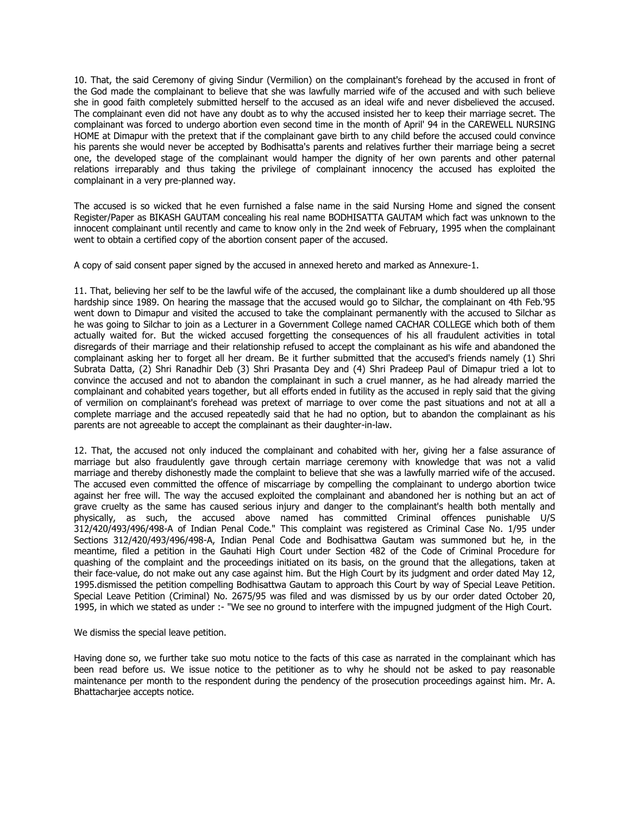10. That, the said Ceremony of giving Sindur (Vermilion) on the complainant's forehead by the accused in front of the God made the complainant to believe that she was lawfully married wife of the accused and with such believe she in good faith completely submitted herself to the accused as an ideal wife and never disbelieved the accused. The complainant even did not have any doubt as to why the accused insisted her to keep their marriage secret. The complainant was forced to undergo abortion even second time in the month of April' 94 in the CAREWELL NURSING HOME at Dimapur with the pretext that if the complainant gave birth to any child before the accused could convince his parents she would never be accepted by Bodhisatta's parents and relatives further their marriage being a secret one, the developed stage of the complainant would hamper the dignity of her own parents and other paternal relations irreparably and thus taking the privilege of complainant innocency the accused has exploited the complainant in a very pre-planned way.

The accused is so wicked that he even furnished a false name in the said Nursing Home and signed the consent Register/Paper as BIKASH GAUTAM concealing his real name BODHISATTA GAUTAM which fact was unknown to the innocent complainant until recently and came to know only in the 2nd week of February, 1995 when the complainant went to obtain a certified copy of the abortion consent paper of the accused.

A copy of said consent paper signed by the accused in annexed hereto and marked as Annexure-1.

11. That, believing her self to be the lawful wife of the accused, the complainant like a dumb shouldered up all those hardship since 1989. On hearing the massage that the accused would go to Silchar, the complainant on 4th Feb.'95 went down to Dimapur and visited the accused to take the complainant permanently with the accused to Silchar as he was going to Silchar to join as a Lecturer in a Government College named CACHAR COLLEGE which both of them actually waited for. But the wicked accused forgetting the consequences of his all fraudulent activities in total disregards of their marriage and their relationship refused to accept the complainant as his wife and abandoned the complainant asking her to forget all her dream. Be it further submitted that the accused's friends namely (1) Shri Subrata Datta, (2) Shri Ranadhir Deb (3) Shri Prasanta Dey and (4) Shri Pradeep Paul of Dimapur tried a lot to convince the accused and not to abandon the complainant in such a cruel manner, as he had already married the complainant and cohabited years together, but all efforts ended in futility as the accused in reply said that the giving of vermilion on complainant's forehead was pretext of marriage to over come the past situations and not at all a complete marriage and the accused repeatedly said that he had no option, but to abandon the complainant as his parents are not agreeable to accept the complainant as their daughter-in-law.

12. That, the accused not only induced the complainant and cohabited with her, giving her a false assurance of marriage but also fraudulently gave through certain marriage ceremony with knowledge that was not a valid marriage and thereby dishonestly made the complaint to believe that she was a lawfully married wife of the accused. The accused even committed the offence of miscarriage by compelling the complainant to undergo abortion twice against her free will. The way the accused exploited the complainant and abandoned her is nothing but an act of grave cruelty as the same has caused serious injury and danger to the complainant's health both mentally and physically, as such, the accused above named has committed Criminal offences punishable U/S 312/420/493/496/498-A of Indian Penal Code." This complaint was registered as Criminal Case No. 1/95 under Sections 312/420/493/496/498-A, Indian Penal Code and Bodhisattwa Gautam was summoned but he, in the meantime, filed a petition in the Gauhati High Court under Section 482 of the Code of Criminal Procedure for quashing of the complaint and the proceedings initiated on its basis, on the ground that the allegations, taken at their face-value, do not make out any case against him. But the High Court by its judgment and order dated May 12, 1995.dismissed the petition compelling Bodhisattwa Gautam to approach this Court by way of Special Leave Petition. Special Leave Petition (Criminal) No. 2675/95 was filed and was dismissed by us by our order dated October 20, 1995, in which we stated as under :- "We see no ground to interfere with the impugned judgment of the High Court.

We dismiss the special leave petition.

Having done so, we further take suo motu notice to the facts of this case as narrated in the complainant which has been read before us. We issue notice to the petitioner as to why he should not be asked to pay reasonable maintenance per month to the respondent during the pendency of the prosecution proceedings against him. Mr. A. Bhattacharjee accepts notice.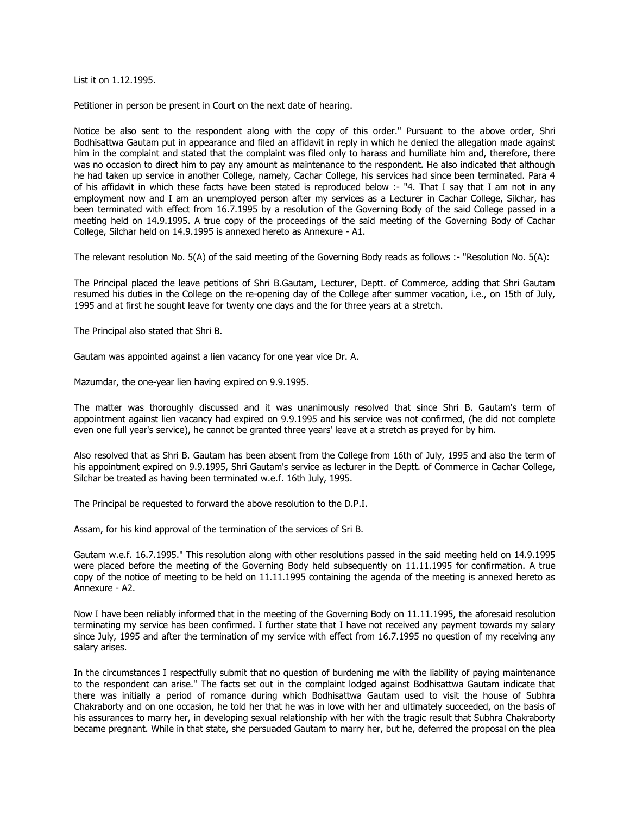List it on 1.12.1995.

Petitioner in person be present in Court on the next date of hearing.

Notice be also sent to the respondent along with the copy of this order." Pursuant to the above order, Shri Bodhisattwa Gautam put in appearance and filed an affidavit in reply in which he denied the allegation made against him in the complaint and stated that the complaint was filed only to harass and humiliate him and, therefore, there was no occasion to direct him to pay any amount as maintenance to the respondent. He also indicated that although he had taken up service in another College, namely, Cachar College, his services had since been terminated. Para 4 of his affidavit in which these facts have been stated is reproduced below :- "4. That I say that I am not in any employment now and I am an unemployed person after my services as a Lecturer in Cachar College, Silchar, has been terminated with effect from 16.7.1995 by a resolution of the Governing Body of the said College passed in a meeting held on 14.9.1995. A true copy of the proceedings of the said meeting of the Governing Body of Cachar College, Silchar held on 14.9.1995 is annexed hereto as Annexure - A1.

The relevant resolution No. 5(A) of the said meeting of the Governing Body reads as follows :- "Resolution No. 5(A):

The Principal placed the leave petitions of Shri B.Gautam, Lecturer, Deptt. of Commerce, adding that Shri Gautam resumed his duties in the College on the re-opening day of the College after summer vacation, i.e., on 15th of July, 1995 and at first he sought leave for twenty one days and the for three years at a stretch.

The Principal also stated that Shri B.

Gautam was appointed against a lien vacancy for one year vice Dr. A.

Mazumdar, the one-year lien having expired on 9.9.1995.

The matter was thoroughly discussed and it was unanimously resolved that since Shri B. Gautam's term of appointment against lien vacancy had expired on 9.9.1995 and his service was not confirmed, (he did not complete even one full year's service), he cannot be granted three years' leave at a stretch as prayed for by him.

Also resolved that as Shri B. Gautam has been absent from the College from 16th of July, 1995 and also the term of his appointment expired on 9.9.1995, Shri Gautam's service as lecturer in the Deptt. of Commerce in Cachar College, Silchar be treated as having been terminated w.e.f. 16th July, 1995.

The Principal be requested to forward the above resolution to the D.P.I.

Assam, for his kind approval of the termination of the services of Sri B.

Gautam w.e.f. 16.7.1995." This resolution along with other resolutions passed in the said meeting held on 14.9.1995 were placed before the meeting of the Governing Body held subsequently on 11.11.1995 for confirmation. A true copy of the notice of meeting to be held on 11.11.1995 containing the agenda of the meeting is annexed hereto as Annexure - A2.

Now I have been reliably informed that in the meeting of the Governing Body on 11.11.1995, the aforesaid resolution terminating my service has been confirmed. I further state that I have not received any payment towards my salary since July, 1995 and after the termination of my service with effect from 16.7.1995 no question of my receiving any salary arises.

In the circumstances I respectfully submit that no question of burdening me with the liability of paying maintenance to the respondent can arise." The facts set out in the complaint lodged against Bodhisattwa Gautam indicate that there was initially a period of romance during which Bodhisattwa Gautam used to visit the house of Subhra Chakraborty and on one occasion, he told her that he was in love with her and ultimately succeeded, on the basis of his assurances to marry her, in developing sexual relationship with her with the tragic result that Subhra Chakraborty became pregnant. While in that state, she persuaded Gautam to marry her, but he, deferred the proposal on the plea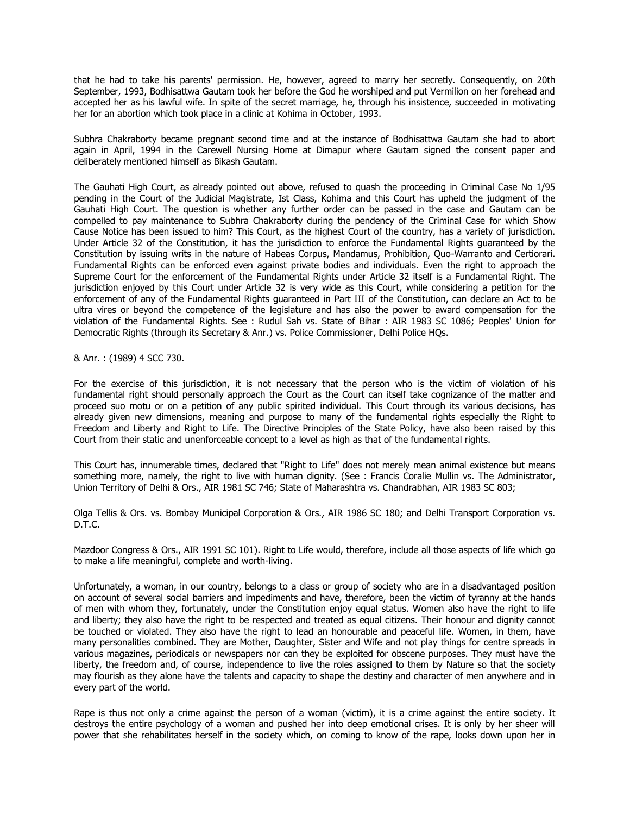that he had to take his parents' permission. He, however, agreed to marry her secretly. Consequently, on 20th September, 1993, Bodhisattwa Gautam took her before the God he worshiped and put Vermilion on her forehead and accepted her as his lawful wife. In spite of the secret marriage, he, through his insistence, succeeded in motivating her for an abortion which took place in a clinic at Kohima in October, 1993.

Subhra Chakraborty became pregnant second time and at the instance of Bodhisattwa Gautam she had to abort again in April, 1994 in the Carewell Nursing Home at Dimapur where Gautam signed the consent paper and deliberately mentioned himself as Bikash Gautam.

The Gauhati High Court, as already pointed out above, refused to quash the proceeding in Criminal Case No 1/95 pending in the Court of the Judicial Magistrate, Ist Class, Kohima and this Court has upheld the judgment of the Gauhati High Court. The question is whether any further order can be passed in the case and Gautam can be compelled to pay maintenance to Subhra Chakraborty during the pendency of the Criminal Case for which Show Cause Notice has been issued to him? This Court, as the highest Court of the country, has a variety of jurisdiction. Under Article 32 of the Constitution, it has the jurisdiction to enforce the Fundamental Rights guaranteed by the Constitution by issuing writs in the nature of Habeas Corpus, Mandamus, Prohibition, Quo-Warranto and Certiorari. Fundamental Rights can be enforced even against private bodies and individuals. Even the right to approach the Supreme Court for the enforcement of the Fundamental Rights under Article 32 itself is a Fundamental Right. The jurisdiction enjoyed by this Court under Article 32 is very wide as this Court, while considering a petition for the enforcement of any of the Fundamental Rights guaranteed in Part III of the Constitution, can declare an Act to be ultra vires or beyond the competence of the legislature and has also the power to award compensation for the violation of the Fundamental Rights. See : Rudul Sah vs. State of Bihar : AIR 1983 SC 1086; Peoples' Union for Democratic Rights (through its Secretary & Anr.) vs. Police Commissioner, Delhi Police HQs.

& Anr. : (1989) 4 SCC 730.

For the exercise of this jurisdiction, it is not necessary that the person who is the victim of violation of his fundamental right should personally approach the Court as the Court can itself take cognizance of the matter and proceed suo motu or on a petition of any public spirited individual. This Court through its various decisions, has already given new dimensions, meaning and purpose to many of the fundamental rights especially the Right to Freedom and Liberty and Right to Life. The Directive Principles of the State Policy, have also been raised by this Court from their static and unenforceable concept to a level as high as that of the fundamental rights.

This Court has, innumerable times, declared that "Right to Life" does not merely mean animal existence but means something more, namely, the right to live with human dignity. (See : Francis Coralie Mullin vs. The Administrator, Union Territory of Delhi & Ors., AIR 1981 SC 746; State of Maharashtra vs. Chandrabhan, AIR 1983 SC 803;

Olga Tellis & Ors. vs. Bombay Municipal Corporation & Ors., AIR 1986 SC 180; and Delhi Transport Corporation vs. D.T.C.

Mazdoor Congress & Ors., AIR 1991 SC 101). Right to Life would, therefore, include all those aspects of life which go to make a life meaningful, complete and worth-living.

Unfortunately, a woman, in our country, belongs to a class or group of society who are in a disadvantaged position on account of several social barriers and impediments and have, therefore, been the victim of tyranny at the hands of men with whom they, fortunately, under the Constitution enjoy equal status. Women also have the right to life and liberty; they also have the right to be respected and treated as equal citizens. Their honour and dignity cannot be touched or violated. They also have the right to lead an honourable and peaceful life. Women, in them, have many personalities combined. They are Mother, Daughter, Sister and Wife and not play things for centre spreads in various magazines, periodicals or newspapers nor can they be exploited for obscene purposes. They must have the liberty, the freedom and, of course, independence to live the roles assigned to them by Nature so that the society may flourish as they alone have the talents and capacity to shape the destiny and character of men anywhere and in every part of the world.

Rape is thus not only a crime against the person of a woman (victim), it is a crime against the entire society. It destroys the entire psychology of a woman and pushed her into deep emotional crises. It is only by her sheer will power that she rehabilitates herself in the society which, on coming to know of the rape, looks down upon her in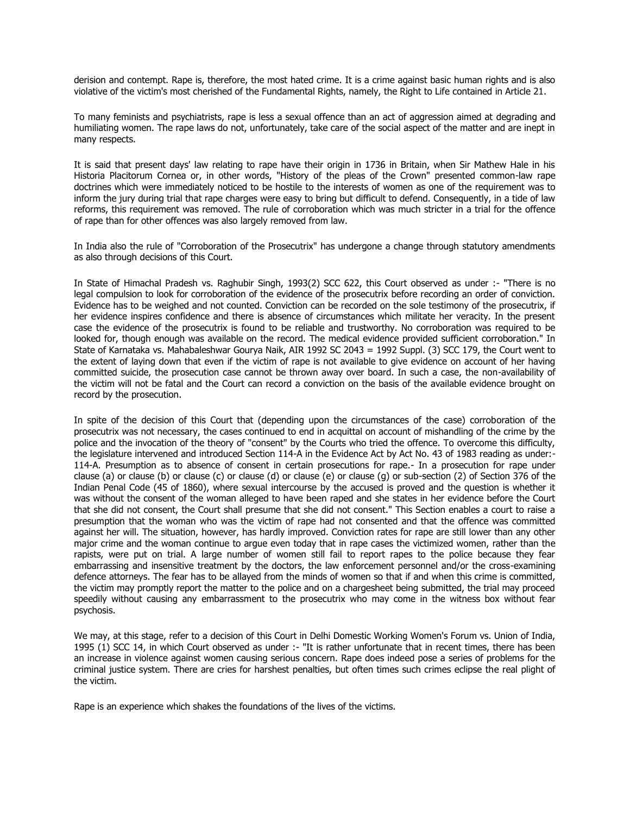derision and contempt. Rape is, therefore, the most hated crime. It is a crime against basic human rights and is also violative of the victim's most cherished of the Fundamental Rights, namely, the Right to Life contained in Article 21.

To many feminists and psychiatrists, rape is less a sexual offence than an act of aggression aimed at degrading and humiliating women. The rape laws do not, unfortunately, take care of the social aspect of the matter and are inept in many respects.

It is said that present days' law relating to rape have their origin in 1736 in Britain, when Sir Mathew Hale in his Historia Placitorum Cornea or, in other words, "History of the pleas of the Crown" presented common-law rape doctrines which were immediately noticed to be hostile to the interests of women as one of the requirement was to inform the jury during trial that rape charges were easy to bring but difficult to defend. Consequently, in a tide of law reforms, this requirement was removed. The rule of corroboration which was much stricter in a trial for the offence of rape than for other offences was also largely removed from law.

In India also the rule of "Corroboration of the Prosecutrix" has undergone a change through statutory amendments as also through decisions of this Court.

In State of Himachal Pradesh vs. Raghubir Singh, 1993(2) SCC 622, this Court observed as under :- "There is no legal compulsion to look for corroboration of the evidence of the prosecutrix before recording an order of conviction. Evidence has to be weighed and not counted. Conviction can be recorded on the sole testimony of the prosecutrix, if her evidence inspires confidence and there is absence of circumstances which militate her veracity. In the present case the evidence of the prosecutrix is found to be reliable and trustworthy. No corroboration was required to be looked for, though enough was available on the record. The medical evidence provided sufficient corroboration." In State of Karnataka vs. Mahabaleshwar Gourya Naik, AIR 1992 SC 2043 = 1992 Suppl. (3) SCC 179, the Court went to the extent of laying down that even if the victim of rape is not available to give evidence on account of her having committed suicide, the prosecution case cannot be thrown away over board. In such a case, the non-availability of the victim will not be fatal and the Court can record a conviction on the basis of the available evidence brought on record by the prosecution.

In spite of the decision of this Court that (depending upon the circumstances of the case) corroboration of the prosecutrix was not necessary, the cases continued to end in acquittal on account of mishandling of the crime by the police and the invocation of the theory of "consent" by the Courts who tried the offence. To overcome this difficulty, the legislature intervened and introduced Section 114-A in the Evidence Act by Act No. 43 of 1983 reading as under:- 114-A. Presumption as to absence of consent in certain prosecutions for rape.- In a prosecution for rape under clause (a) or clause (b) or clause (c) or clause (d) or clause (e) or clause (g) or sub-section (2) of Section 376 of the Indian Penal Code (45 of 1860), where sexual intercourse by the accused is proved and the question is whether it was without the consent of the woman alleged to have been raped and she states in her evidence before the Court that she did not consent, the Court shall presume that she did not consent." This Section enables a court to raise a presumption that the woman who was the victim of rape had not consented and that the offence was committed against her will. The situation, however, has hardly improved. Conviction rates for rape are still lower than any other major crime and the woman continue to argue even today that in rape cases the victimized women, rather than the rapists, were put on trial. A large number of women still fail to report rapes to the police because they fear embarrassing and insensitive treatment by the doctors, the law enforcement personnel and/or the cross-examining defence attorneys. The fear has to be allayed from the minds of women so that if and when this crime is committed, the victim may promptly report the matter to the police and on a chargesheet being submitted, the trial may proceed speedily without causing any embarrassment to the prosecutrix who may come in the witness box without fear psychosis.

We may, at this stage, refer to a decision of this Court in Delhi Domestic Working Women's Forum vs. Union of India, 1995 (1) SCC 14, in which Court observed as under :- "It is rather unfortunate that in recent times, there has been an increase in violence against women causing serious concern. Rape does indeed pose a series of problems for the criminal justice system. There are cries for harshest penalties, but often times such crimes eclipse the real plight of the victim.

Rape is an experience which shakes the foundations of the lives of the victims.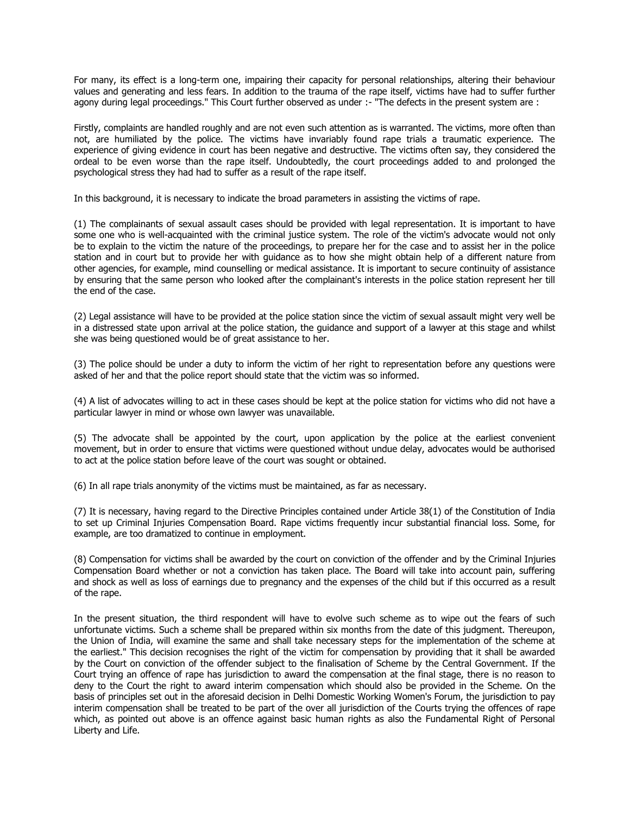For many, its effect is a long-term one, impairing their capacity for personal relationships, altering their behaviour values and generating and less fears. In addition to the trauma of the rape itself, victims have had to suffer further agony during legal proceedings." This Court further observed as under :- "The defects in the present system are :

Firstly, complaints are handled roughly and are not even such attention as is warranted. The victims, more often than not, are humiliated by the police. The victims have invariably found rape trials a traumatic experience. The experience of giving evidence in court has been negative and destructive. The victims often say, they considered the ordeal to be even worse than the rape itself. Undoubtedly, the court proceedings added to and prolonged the psychological stress they had had to suffer as a result of the rape itself.

In this background, it is necessary to indicate the broad parameters in assisting the victims of rape.

(1) The complainants of sexual assault cases should be provided with legal representation. It is important to have some one who is well-acquainted with the criminal justice system. The role of the victim's advocate would not only be to explain to the victim the nature of the proceedings, to prepare her for the case and to assist her in the police station and in court but to provide her with guidance as to how she might obtain help of a different nature from other agencies, for example, mind counselling or medical assistance. It is important to secure continuity of assistance by ensuring that the same person who looked after the complainant's interests in the police station represent her till the end of the case.

(2) Legal assistance will have to be provided at the police station since the victim of sexual assault might very well be in a distressed state upon arrival at the police station, the guidance and support of a lawyer at this stage and whilst she was being questioned would be of great assistance to her.

(3) The police should be under a duty to inform the victim of her right to representation before any questions were asked of her and that the police report should state that the victim was so informed.

(4) A list of advocates willing to act in these cases should be kept at the police station for victims who did not have a particular lawyer in mind or whose own lawyer was unavailable.

(5) The advocate shall be appointed by the court, upon application by the police at the earliest convenient movement, but in order to ensure that victims were questioned without undue delay, advocates would be authorised to act at the police station before leave of the court was sought or obtained.

(6) In all rape trials anonymity of the victims must be maintained, as far as necessary.

(7) It is necessary, having regard to the Directive Principles contained under Article 38(1) of the Constitution of India to set up Criminal Injuries Compensation Board. Rape victims frequently incur substantial financial loss. Some, for example, are too dramatized to continue in employment.

(8) Compensation for victims shall be awarded by the court on conviction of the offender and by the Criminal Injuries Compensation Board whether or not a conviction has taken place. The Board will take into account pain, suffering and shock as well as loss of earnings due to pregnancy and the expenses of the child but if this occurred as a result of the rape.

In the present situation, the third respondent will have to evolve such scheme as to wipe out the fears of such unfortunate victims. Such a scheme shall be prepared within six months from the date of this judgment. Thereupon, the Union of India, will examine the same and shall take necessary steps for the implementation of the scheme at the earliest." This decision recognises the right of the victim for compensation by providing that it shall be awarded by the Court on conviction of the offender subject to the finalisation of Scheme by the Central Government. If the Court trying an offence of rape has jurisdiction to award the compensation at the final stage, there is no reason to deny to the Court the right to award interim compensation which should also be provided in the Scheme. On the basis of principles set out in the aforesaid decision in Delhi Domestic Working Women's Forum, the jurisdiction to pay interim compensation shall be treated to be part of the over all jurisdiction of the Courts trying the offences of rape which, as pointed out above is an offence against basic human rights as also the Fundamental Right of Personal Liberty and Life.